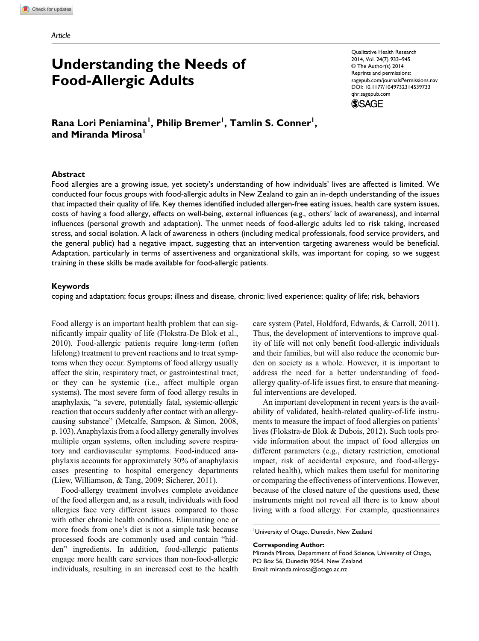# **Understanding the Needs of Food-Allergic Adults**

Qualitative Health Research 2014, Vol. 24(7) 933–945 © The Author(s) 2014 Reprints and permissions: sagepub.com/journalsPermissions.nav DOI: 10.1177/1049732314539733 qhr.sagepub.com



 $\boldsymbol{\mathsf{R}}$ ana Lori Peniamina<sup>l</sup>, Philip Bremer<sup>l</sup>, Tamlin S. Conner<sup>l</sup>, and Miranda Mirosa<sup>1</sup>

### **Abstract**

Food allergies are a growing issue, yet society's understanding of how individuals' lives are affected is limited. We conducted four focus groups with food-allergic adults in New Zealand to gain an in-depth understanding of the issues that impacted their quality of life. Key themes identified included allergen-free eating issues, health care system issues, costs of having a food allergy, effects on well-being, external influences (e.g., others' lack of awareness), and internal influences (personal growth and adaptation). The unmet needs of food-allergic adults led to risk taking, increased stress, and social isolation. A lack of awareness in others (including medical professionals, food service providers, and the general public) had a negative impact, suggesting that an intervention targeting awareness would be beneficial. Adaptation, particularly in terms of assertiveness and organizational skills, was important for coping, so we suggest training in these skills be made available for food-allergic patients.

### **Keywords**

coping and adaptation; focus groups; illness and disease, chronic; lived experience; quality of life; risk, behaviors

Food allergy is an important health problem that can significantly impair quality of life (Flokstra-De Blok et al., 2010). Food-allergic patients require long-term (often lifelong) treatment to prevent reactions and to treat symptoms when they occur. Symptoms of food allergy usually affect the skin, respiratory tract, or gastrointestinal tract, or they can be systemic (i.e., affect multiple organ systems). The most severe form of food allergy results in anaphylaxis, "a severe, potentially fatal, systemic-allergic reaction that occurs suddenly after contact with an allergycausing substance" (Metcalfe, Sampson, & Simon, 2008, p. 103). Anaphylaxis from a food allergy generally involves multiple organ systems, often including severe respiratory and cardiovascular symptoms. Food-induced anaphylaxis accounts for approximately 30% of anaphylaxis cases presenting to hospital emergency departments (Liew, Williamson, & Tang, 2009; Sicherer, 2011).

Food-allergy treatment involves complete avoidance of the food allergen and, as a result, individuals with food allergies face very different issues compared to those with other chronic health conditions. Eliminating one or more foods from one's diet is not a simple task because processed foods are commonly used and contain "hidden" ingredients. In addition, food-allergic patients engage more health care services than non-food-allergic individuals, resulting in an increased cost to the health care system (Patel, Holdford, Edwards, & Carroll, 2011). Thus, the development of interventions to improve quality of life will not only benefit food-allergic individuals and their families, but will also reduce the economic burden on society as a whole. However, it is important to address the need for a better understanding of foodallergy quality-of-life issues first, to ensure that meaningful interventions are developed.

An important development in recent years is the availability of validated, health-related quality-of-life instruments to measure the impact of food allergies on patients' lives (Flokstra-de Blok & Dubois, 2012). Such tools provide information about the impact of food allergies on different parameters (e.g., dietary restriction, emotional impact, risk of accidental exposure, and food-allergyrelated health), which makes them useful for monitoring or comparing the effectiveness of interventions. However, because of the closed nature of the questions used, these instruments might not reveal all there is to know about living with a food allergy. For example, questionnaires

<sup>1</sup>University of Otago, Dunedin, New Zealand

### **Corresponding Author:**

Miranda Mirosa, Department of Food Science, University of Otago, PO Box 56, Dunedin 9054, New Zealand. Email: miranda.mirosa@otago.ac.nz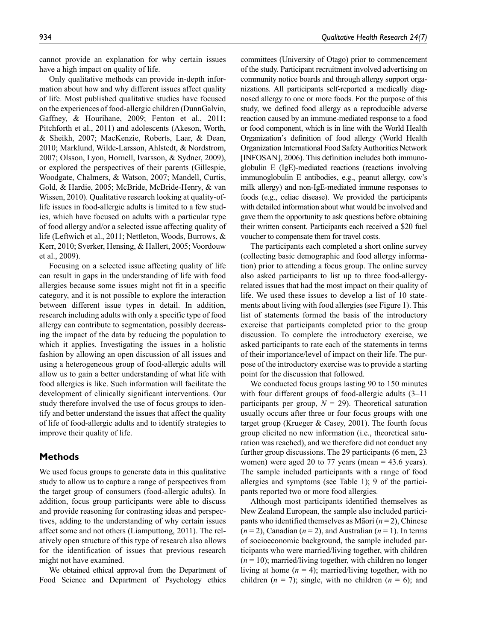cannot provide an explanation for why certain issues have a high impact on quality of life.

Only qualitative methods can provide in-depth information about how and why different issues affect quality of life. Most published qualitative studies have focused on the experiences of food-allergic children (DunnGalvin, Gaffney, & Hourihane, 2009; Fenton et al., 2011; Pitchforth et al., 2011) and adolescents (Akeson, Worth, & Sheikh, 2007; MacKenzie, Roberts, Laar, & Dean, 2010; Marklund, Wilde-Larsson, Ahlstedt, & Nordstrom, 2007; Olsson, Lyon, Hornell, Ivarsson, & Sydner, 2009), or explored the perspectives of their parents (Gillespie, Woodgate, Chalmers, & Watson, 2007; Mandell, Curtis, Gold, & Hardie, 2005; McBride, McBride-Henry, & van Wissen, 2010). Qualitative research looking at quality-oflife issues in food-allergic adults is limited to a few studies, which have focused on adults with a particular type of food allergy and/or a selected issue affecting quality of life (Leftwich et al., 2011; Nettleton, Woods, Burrows, & Kerr, 2010; Sverker, Hensing, & Hallert, 2005; Voordouw et al., 2009).

Focusing on a selected issue affecting quality of life can result in gaps in the understanding of life with food allergies because some issues might not fit in a specific category, and it is not possible to explore the interaction between different issue types in detail. In addition, research including adults with only a specific type of food allergy can contribute to segmentation, possibly decreasing the impact of the data by reducing the population to which it applies. Investigating the issues in a holistic fashion by allowing an open discussion of all issues and using a heterogeneous group of food-allergic adults will allow us to gain a better understanding of what life with food allergies is like. Such information will facilitate the development of clinically significant interventions. Our study therefore involved the use of focus groups to identify and better understand the issues that affect the quality of life of food-allergic adults and to identify strategies to improve their quality of life.

## **Methods**

We used focus groups to generate data in this qualitative study to allow us to capture a range of perspectives from the target group of consumers (food-allergic adults). In addition, focus group participants were able to discuss and provide reasoning for contrasting ideas and perspectives, adding to the understanding of why certain issues affect some and not others (Liamputtong, 2011). The relatively open structure of this type of research also allows for the identification of issues that previous research might not have examined.

We obtained ethical approval from the Department of Food Science and Department of Psychology ethics committees (University of Otago) prior to commencement of the study. Participant recruitment involved advertising on community notice boards and through allergy support organizations. All participants self-reported a medically diagnosed allergy to one or more foods. For the purpose of this study, we defined food allergy as a reproducible adverse reaction caused by an immune-mediated response to a food or food component, which is in line with the World Health Organization's definition of food allergy (World Health Organization International Food Safety Authorities Network [INFOSAN], 2006). This definition includes both immunoglobulin E (IgE)-mediated reactions (reactions involving immunoglobulin E antibodies, e.g., peanut allergy, cow's milk allergy) and non-IgE-mediated immune responses to foods (e.g., celiac disease). We provided the participants with detailed information about what would be involved and gave them the opportunity to ask questions before obtaining their written consent. Participants each received a \$20 fuel voucher to compensate them for travel costs.

The participants each completed a short online survey (collecting basic demographic and food allergy information) prior to attending a focus group. The online survey also asked participants to list up to three food-allergyrelated issues that had the most impact on their quality of life. We used these issues to develop a list of 10 statements about living with food allergies (see Figure 1). This list of statements formed the basis of the introductory exercise that participants completed prior to the group discussion. To complete the introductory exercise, we asked participants to rate each of the statements in terms of their importance/level of impact on their life. The purpose of the introductory exercise was to provide a starting point for the discussion that followed.

We conducted focus groups lasting 90 to 150 minutes with four different groups of food-allergic adults (3–11 participants per group,  $N = 29$ ). Theoretical saturation usually occurs after three or four focus groups with one target group (Krueger & Casey, 2001). The fourth focus group elicited no new information (i.e., theoretical saturation was reached), and we therefore did not conduct any further group discussions. The 29 participants (6 men, 23 women) were aged 20 to 77 years (mean  $=$  43.6 years). The sample included participants with a range of food allergies and symptoms (see Table 1); 9 of the participants reported two or more food allergies.

Although most participants identified themselves as New Zealand European, the sample also included participants who identified themselves as Māori (*n* = 2), Chinese  $(n=2)$ , Canadian  $(n=2)$ , and Australian  $(n=1)$ . In terms of socioeconomic background, the sample included participants who were married/living together, with children (*n* = 10); married/living together, with children no longer living at home  $(n = 4)$ ; married/living together, with no children  $(n = 7)$ ; single, with no children  $(n = 6)$ ; and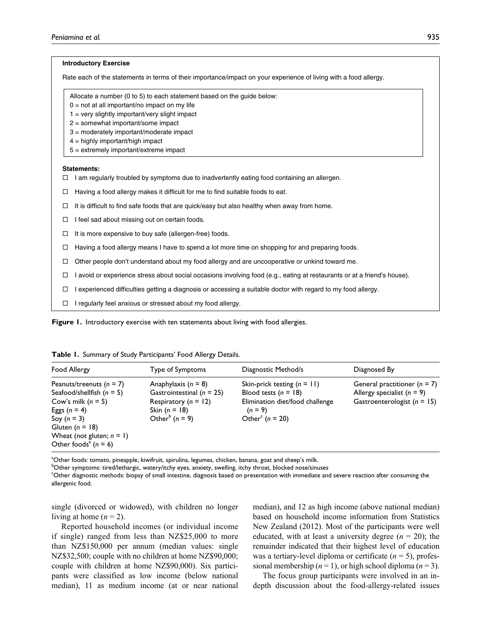### **Introductory Exercise**

Rate each of the statements in terms of their importance/impact on your experience of living with a food allergy.

Allocate a number (0 to 5) to each statement based on the guide below:

- $0 = not$  at all important/no impact on my life
- 1 = very slightly important/very slight impact
- 2 = somewhat important/some impact
- 3 = moderately important/moderate impact
- 4 = highly important/high impact
- 5 = extremely important/extreme impact

### **Statements:**

- $\Box$  I am regularly troubled by symptoms due to inadvertently eating food containing an allergen.
- $\Box$  Having a food allergy makes it difficult for me to find suitable foods to eat.
- $\Box$  It is difficult to find safe foods that are quick/easy but also healthy when away from home.
- $\Box$  I feel sad about missing out on certain foods.
- $\Box$  It is more expensive to buy safe (allergen-free) foods.
- $\Box$  Having a food allergy means I have to spend a lot more time on shopping for and preparing foods.
- Other people don't understand about my food allergy and are uncooperative or unkind toward me.
- $\Box$  I avoid or experience stress about social occasions involving food (e.g., eating at restaurants or at a friend's house).
- $\Box$  I experienced difficulties getting a diagnosis or accessing a suitable doctor with regard to my food allergy.
- $\Box$  I regularly feel anxious or stressed about my food allergy.

**Figure 1.** Introductory exercise with ten statements about living with food allergies.

| Food Allergy                                                                                                                                                                                                    | Type of Symptoms                                                                                                                      | Diagnostic Method/s                                                                                                                        | Diagnosed By                                                                                      |
|-----------------------------------------------------------------------------------------------------------------------------------------------------------------------------------------------------------------|---------------------------------------------------------------------------------------------------------------------------------------|--------------------------------------------------------------------------------------------------------------------------------------------|---------------------------------------------------------------------------------------------------|
| Peanuts/treenuts $(n = 7)$<br>Seafood/shellfish $(n = 5)$<br>Cow's milk $(n = 5)$<br>Eggs $(n = 4)$<br>Soy $(n = 3)$<br>Gluten $(n = 18)$<br>Wheat (not gluten; $n = 1$ )<br>Other foods <sup>a</sup> $(n = 6)$ | Anaphylaxis $(n = 8)$<br>Gastrointestinal ( $n = 25$ )<br>Respiratory ( $n = 12$ )<br>Skin $(n = 18)$<br>Other <sup>b</sup> $(n = 9)$ | Skin-prick testing $(n = 11)$<br>Blood tests $(n = 18)$<br>Elimination diet/food challenge<br>$(n = 9)$<br>Other <sup>c</sup> ( $n = 20$ ) | General practitioner $(n = 7)$<br>Allergy specialist $(n = 9)$<br>Gastroenterologist ( $n = 15$ ) |

**Table 1.** Summary of Study Participants' Food Allergy Details.

a Other foods: tomato, pineapple, kiwifruit, spirulina, legumes, chicken, banana, goat and sheep's milk.

<sup>b</sup>Other symptoms: tired/lethargic, watery/itchy eyes, anxiety, swelling, itchy throat, blocked nose/sinuses

c Other diagnostic methods: biopsy of small intestine, diagnosis based on presentation with immediate and severe reaction after consuming the allergenic food.

single (divorced or widowed), with children no longer living at home  $(n = 2)$ .

Reported household incomes (or individual income if single) ranged from less than NZ\$25,000 to more than NZ\$150,000 per annum (median values: single NZ\$32,500; couple with no children at home NZ\$90,000; couple with children at home NZ\$90,000). Six participants were classified as low income (below national median), 11 as medium income (at or near national

median), and 12 as high income (above national median) based on household income information from Statistics New Zealand (2012). Most of the participants were well educated, with at least a university degree  $(n = 20)$ ; the remainder indicated that their highest level of education was a tertiary-level diploma or certificate  $(n = 5)$ , professional membership ( $n = 1$ ), or high school diploma ( $n = 3$ ).

The focus group participants were involved in an indepth discussion about the food-allergy-related issues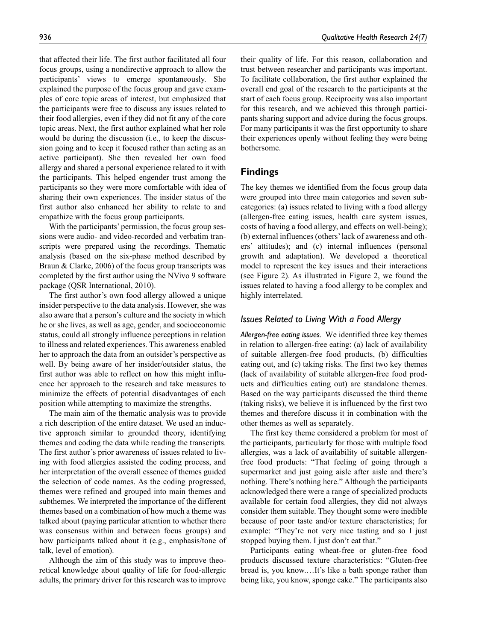that affected their life. The first author facilitated all four focus groups, using a nondirective approach to allow the participants' views to emerge spontaneously. She explained the purpose of the focus group and gave examples of core topic areas of interest, but emphasized that the participants were free to discuss any issues related to their food allergies, even if they did not fit any of the core topic areas. Next, the first author explained what her role would be during the discussion (i.e., to keep the discussion going and to keep it focused rather than acting as an active participant). She then revealed her own food allergy and shared a personal experience related to it with the participants. This helped engender trust among the participants so they were more comfortable with idea of sharing their own experiences. The insider status of the first author also enhanced her ability to relate to and empathize with the focus group participants.

With the participants' permission, the focus group sessions were audio- and video-recorded and verbatim transcripts were prepared using the recordings. Thematic analysis (based on the six-phase method described by Braun & Clarke, 2006) of the focus group transcripts was completed by the first author using the NVivo 9 software package (QSR International, 2010).

The first author's own food allergy allowed a unique insider perspective to the data analysis. However, she was also aware that a person's culture and the society in which he or she lives, as well as age, gender, and socioeconomic status, could all strongly influence perceptions in relation to illness and related experiences. This awareness enabled her to approach the data from an outsider's perspective as well. By being aware of her insider/outsider status, the first author was able to reflect on how this might influence her approach to the research and take measures to minimize the effects of potential disadvantages of each position while attempting to maximize the strengths.

The main aim of the thematic analysis was to provide a rich description of the entire dataset. We used an inductive approach similar to grounded theory, identifying themes and coding the data while reading the transcripts. The first author's prior awareness of issues related to living with food allergies assisted the coding process, and her interpretation of the overall essence of themes guided the selection of code names. As the coding progressed, themes were refined and grouped into main themes and subthemes. We interpreted the importance of the different themes based on a combination of how much a theme was talked about (paying particular attention to whether there was consensus within and between focus groups) and how participants talked about it (e.g., emphasis/tone of talk, level of emotion).

Although the aim of this study was to improve theoretical knowledge about quality of life for food-allergic adults, the primary driver for this research was to improve their quality of life. For this reason, collaboration and trust between researcher and participants was important. To facilitate collaboration, the first author explained the overall end goal of the research to the participants at the start of each focus group. Reciprocity was also important for this research, and we achieved this through participants sharing support and advice during the focus groups. For many participants it was the first opportunity to share their experiences openly without feeling they were being bothersome.

# **Findings**

The key themes we identified from the focus group data were grouped into three main categories and seven subcategories: (a) issues related to living with a food allergy (allergen-free eating issues, health care system issues, costs of having a food allergy, and effects on well-being); (b) external influences (others' lack of awareness and others' attitudes); and (c) internal influences (personal growth and adaptation). We developed a theoretical model to represent the key issues and their interactions (see Figure 2). As illustrated in Figure 2, we found the issues related to having a food allergy to be complex and highly interrelated.

### *Issues Related to Living With a Food Allergy*

*Allergen-free eating issues.* We identified three key themes in relation to allergen-free eating: (a) lack of availability of suitable allergen-free food products, (b) difficulties eating out, and (c) taking risks. The first two key themes (lack of availability of suitable allergen-free food products and difficulties eating out) are standalone themes. Based on the way participants discussed the third theme (taking risks), we believe it is influenced by the first two themes and therefore discuss it in combination with the other themes as well as separately.

The first key theme considered a problem for most of the participants, particularly for those with multiple food allergies, was a lack of availability of suitable allergenfree food products: "That feeling of going through a supermarket and just going aisle after aisle and there's nothing. There's nothing here." Although the participants acknowledged there were a range of specialized products available for certain food allergies, they did not always consider them suitable. They thought some were inedible because of poor taste and/or texture characteristics; for example: "They're not very nice tasting and so I just stopped buying them. I just don't eat that."

Participants eating wheat-free or gluten-free food products discussed texture characteristics: "Gluten-free bread is, you know.…It's like a bath sponge rather than being like, you know, sponge cake." The participants also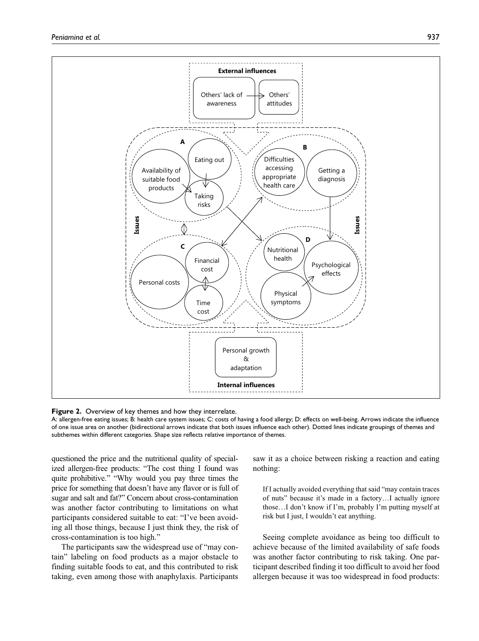

**Figure 2.** Overview of key themes and how they interrelate.

A: allergen-free eating issues; B: health care system issues; C: costs of having a food allergy; D: effects on well-being. Arrows indicate the influence of one issue area on another (bidirectional arrows indicate that both issues influence each other). Dotted lines indicate groupings of themes and subthemes within different categories. Shape size reflects relative importance of themes.

questioned the price and the nutritional quality of specialized allergen-free products: "The cost thing I found was quite prohibitive." "Why would you pay three times the price for something that doesn't have any flavor or is full of sugar and salt and fat?" Concern about cross-contamination was another factor contributing to limitations on what participants considered suitable to eat: "I've been avoiding all those things, because I just think they, the risk of cross-contamination is too high."

The participants saw the widespread use of "may contain" labeling on food products as a major obstacle to finding suitable foods to eat, and this contributed to risk taking, even among those with anaphylaxis. Participants saw it as a choice between risking a reaction and eating nothing:

If I actually avoided everything that said "may contain traces of nuts" because it's made in a factory…I actually ignore those…I don't know if I'm, probably I'm putting myself at risk but I just, I wouldn't eat anything.

Seeing complete avoidance as being too difficult to achieve because of the limited availability of safe foods was another factor contributing to risk taking. One participant described finding it too difficult to avoid her food allergen because it was too widespread in food products: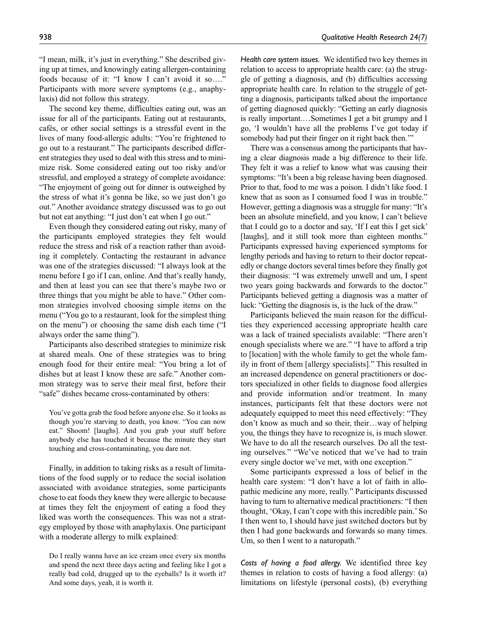"I mean, milk, it's just in everything." She described giving up at times, and knowingly eating allergen-containing foods because of it: "I know I can't avoid it so…." Participants with more severe symptoms (e.g., anaphylaxis) did not follow this strategy.

The second key theme, difficulties eating out, was an issue for all of the participants. Eating out at restaurants, cafés, or other social settings is a stressful event in the lives of many food-allergic adults: "You're frightened to go out to a restaurant." The participants described different strategies they used to deal with this stress and to minimize risk. Some considered eating out too risky and/or stressful, and employed a strategy of complete avoidance: "The enjoyment of going out for dinner is outweighed by the stress of what it's gonna be like, so we just don't go out." Another avoidance strategy discussed was to go out but not eat anything: "I just don't eat when I go out."

Even though they considered eating out risky, many of the participants employed strategies they felt would reduce the stress and risk of a reaction rather than avoiding it completely. Contacting the restaurant in advance was one of the strategies discussed: "I always look at the menu before I go if I can, online. And that's really handy, and then at least you can see that there's maybe two or three things that you might be able to have." Other common strategies involved choosing simple items on the menu ("You go to a restaurant, look for the simplest thing on the menu") or choosing the same dish each time ("I always order the same thing").

Participants also described strategies to minimize risk at shared meals. One of these strategies was to bring enough food for their entire meal: "You bring a lot of dishes but at least I know these are safe." Another common strategy was to serve their meal first, before their "safe" dishes became cross-contaminated by others:

You've gotta grab the food before anyone else. So it looks as though you're starving to death, you know. "You can now eat." Shoom! [laughs]. And you grab your stuff before anybody else has touched it because the minute they start touching and cross-contaminating, you dare not.

Finally, in addition to taking risks as a result of limitations of the food supply or to reduce the social isolation associated with avoidance strategies, some participants chose to eat foods they knew they were allergic to because at times they felt the enjoyment of eating a food they liked was worth the consequences. This was not a strategy employed by those with anaphylaxis. One participant with a moderate allergy to milk explained:

Do I really wanna have an ice cream once every six months and spend the next three days acting and feeling like I got a really bad cold, drugged up to the eyeballs? Is it worth it? And some days, yeah, it is worth it.

*Health care system issues.* We identified two key themes in relation to access to appropriate health care: (a) the struggle of getting a diagnosis, and (b) difficulties accessing appropriate health care. In relation to the struggle of getting a diagnosis, participants talked about the importance of getting diagnosed quickly: "Getting an early diagnosis is really important.…Sometimes I get a bit grumpy and I go, 'I wouldn't have all the problems I've got today if somebody had put their finger on it right back then.""

There was a consensus among the participants that having a clear diagnosis made a big difference to their life. They felt it was a relief to know what was causing their symptoms: "It's been a big release having been diagnosed. Prior to that, food to me was a poison. I didn't like food. I knew that as soon as I consumed food I was in trouble." However, getting a diagnosis was a struggle for many: "It's been an absolute minefield, and you know, I can't believe that I could go to a doctor and say, 'If I eat this I get sick' [laughs], and it still took more than eighteen months." Participants expressed having experienced symptoms for lengthy periods and having to return to their doctor repeatedly or change doctors several times before they finally got their diagnosis: "I was extremely unwell and um, I spent two years going backwards and forwards to the doctor." Participants believed getting a diagnosis was a matter of luck: "Getting the diagnosis is, is the luck of the draw."

Participants believed the main reason for the difficulties they experienced accessing appropriate health care was a lack of trained specialists available: "There aren't enough specialists where we are." "I have to afford a trip to [location] with the whole family to get the whole family in front of them [allergy specialists]." This resulted in an increased dependence on general practitioners or doctors specialized in other fields to diagnose food allergies and provide information and/or treatment. In many instances, participants felt that these doctors were not adequately equipped to meet this need effectively: "They don't know as much and so their, their…way of helping you, the things they have to recognize is, is much slower. We have to do all the research ourselves. Do all the testing ourselves." "We've noticed that we've had to train every single doctor we've met, with one exception."

Some participants expressed a loss of belief in the health care system: "I don't have a lot of faith in allopathic medicine any more, really." Participants discussed having to turn to alternative medical practitioners: "I then thought, 'Okay, I can't cope with this incredible pain.' So I then went to, I should have just switched doctors but by then I had gone backwards and forwards so many times. Um, so then I went to a naturopath."

*Costs of having a food allergy.* We identified three key themes in relation to costs of having a food allergy: (a) limitations on lifestyle (personal costs), (b) everything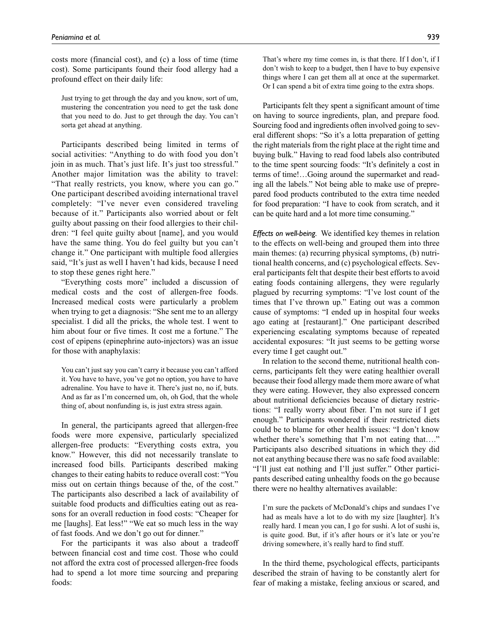costs more (financial cost), and (c) a loss of time (time cost). Some participants found their food allergy had a profound effect on their daily life:

Just trying to get through the day and you know, sort of um, mustering the concentration you need to get the task done that you need to do. Just to get through the day. You can't sorta get ahead at anything.

Participants described being limited in terms of social activities: "Anything to do with food you don't join in as much. That's just life. It's just too stressful." Another major limitation was the ability to travel: "That really restricts, you know, where you can go." One participant described avoiding international travel completely: "I've never even considered traveling because of it." Participants also worried about or felt guilty about passing on their food allergies to their children: "I feel quite guilty about [name], and you would have the same thing. You do feel guilty but you can't change it." One participant with multiple food allergies said, "It's just as well I haven't had kids, because I need to stop these genes right here."

"Everything costs more" included a discussion of medical costs and the cost of allergen-free foods. Increased medical costs were particularly a problem when trying to get a diagnosis: "She sent me to an allergy specialist. I did all the pricks, the whole test. I went to him about four or five times. It cost me a fortune." The cost of epipens (epinephrine auto-injectors) was an issue for those with anaphylaxis:

You can't just say you can't carry it because you can't afford it. You have to have, you've got no option, you have to have adrenaline. You have to have it. There's just no, no if, buts. And as far as I'm concerned um, oh, oh God, that the whole thing of, about nonfunding is, is just extra stress again.

In general, the participants agreed that allergen-free foods were more expensive, particularly specialized allergen-free products: "Everything costs extra, you know." However, this did not necessarily translate to increased food bills. Participants described making changes to their eating habits to reduce overall cost: "You miss out on certain things because of the, of the cost." The participants also described a lack of availability of suitable food products and difficulties eating out as reasons for an overall reduction in food costs: "Cheaper for me [laughs]. Eat less!" "We eat so much less in the way of fast foods. And we don't go out for dinner."

For the participants it was also about a tradeoff between financial cost and time cost. Those who could not afford the extra cost of processed allergen-free foods had to spend a lot more time sourcing and preparing foods:

That's where my time comes in, is that there. If I don't, if I don't wish to keep to a budget, then I have to buy expensive things where I can get them all at once at the supermarket. Or I can spend a bit of extra time going to the extra shops.

Participants felt they spent a significant amount of time on having to source ingredients, plan, and prepare food. Sourcing food and ingredients often involved going to several different shops: "So it's a lotta preparation of getting the right materials from the right place at the right time and buying bulk." Having to read food labels also contributed to the time spent sourcing foods: "It's definitely a cost in terms of time!…Going around the supermarket and reading all the labels." Not being able to make use of preprepared food products contributed to the extra time needed for food preparation: "I have to cook from scratch, and it can be quite hard and a lot more time consuming."

*Effects on well-being.* We identified key themes in relation to the effects on well-being and grouped them into three main themes: (a) recurring physical symptoms, (b) nutritional health concerns, and (c) psychological effects. Several participants felt that despite their best efforts to avoid eating foods containing allergens, they were regularly plagued by recurring symptoms: "I've lost count of the times that I've thrown up." Eating out was a common cause of symptoms: "I ended up in hospital four weeks ago eating at [restaurant]." One participant described experiencing escalating symptoms because of repeated accidental exposures: "It just seems to be getting worse every time I get caught out."

In relation to the second theme, nutritional health concerns, participants felt they were eating healthier overall because their food allergy made them more aware of what they were eating. However, they also expressed concern about nutritional deficiencies because of dietary restrictions: "I really worry about fiber. I'm not sure if I get enough." Participants wondered if their restricted diets could be to blame for other health issues: "I don't know whether there's something that I'm not eating that...." Participants also described situations in which they did not eat anything because there was no safe food available: "I'll just eat nothing and I'll just suffer." Other participants described eating unhealthy foods on the go because there were no healthy alternatives available:

I'm sure the packets of McDonald's chips and sundaes I've had as meals have a lot to do with my size [laughter]. It's really hard. I mean you can, I go for sushi. A lot of sushi is, is quite good. But, if it's after hours or it's late or you're driving somewhere, it's really hard to find stuff.

In the third theme, psychological effects, participants described the strain of having to be constantly alert for fear of making a mistake, feeling anxious or scared, and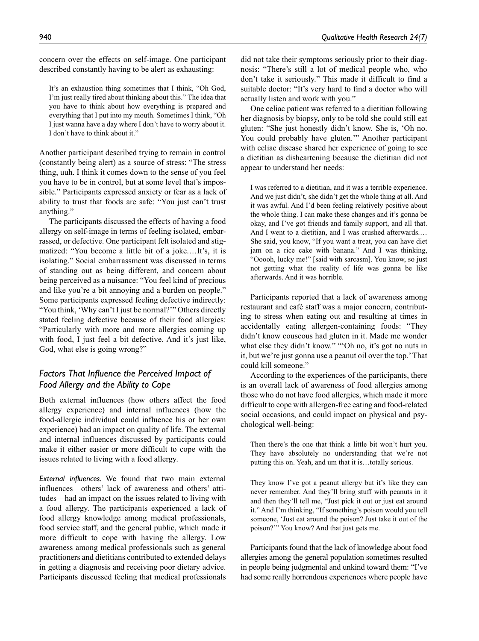concern over the effects on self-image. One participant described constantly having to be alert as exhausting:

It's an exhaustion thing sometimes that I think, "Oh God, I'm just really tired about thinking about this." The idea that you have to think about how everything is prepared and everything that I put into my mouth. Sometimes I think, "Oh I just wanna have a day where I don't have to worry about it. I don't have to think about it."

Another participant described trying to remain in control (constantly being alert) as a source of stress: "The stress thing, uuh. I think it comes down to the sense of you feel you have to be in control, but at some level that's impossible." Participants expressed anxiety or fear as a lack of ability to trust that foods are safe: "You just can't trust anything."

The participants discussed the effects of having a food allergy on self-image in terms of feeling isolated, embarrassed, or defective. One participant felt isolated and stigmatized: "You become a little bit of a joke.…It's, it is isolating." Social embarrassment was discussed in terms of standing out as being different, and concern about being perceived as a nuisance: "You feel kind of precious and like you're a bit annoying and a burden on people." Some participants expressed feeling defective indirectly: "You think, 'Why can't I just be normal?'" Others directly stated feeling defective because of their food allergies: "Particularly with more and more allergies coming up with food, I just feel a bit defective. And it's just like, God, what else is going wrong?"

# *Factors That Influence the Perceived Impact of Food Allergy and the Ability to Cope*

Both external influences (how others affect the food allergy experience) and internal influences (how the food-allergic individual could influence his or her own experience) had an impact on quality of life. The external and internal influences discussed by participants could make it either easier or more difficult to cope with the issues related to living with a food allergy.

*External influences.* We found that two main external influences—others' lack of awareness and others' attitudes—had an impact on the issues related to living with a food allergy. The participants experienced a lack of food allergy knowledge among medical professionals, food service staff, and the general public, which made it more difficult to cope with having the allergy. Low awareness among medical professionals such as general practitioners and dietitians contributed to extended delays in getting a diagnosis and receiving poor dietary advice. Participants discussed feeling that medical professionals

did not take their symptoms seriously prior to their diagnosis: "There's still a lot of medical people who, who don't take it seriously." This made it difficult to find a suitable doctor: "It's very hard to find a doctor who will actually listen and work with you."

One celiac patient was referred to a dietitian following her diagnosis by biopsy, only to be told she could still eat gluten: "She just honestly didn't know. She is, 'Oh no. You could probably have gluten.'" Another participant with celiac disease shared her experience of going to see a dietitian as disheartening because the dietitian did not appear to understand her needs:

I was referred to a dietitian, and it was a terrible experience. And we just didn't, she didn't get the whole thing at all. And it was awful. And I'd been feeling relatively positive about the whole thing. I can make these changes and it's gonna be okay, and I've got friends and family support, and all that. And I went to a dietitian, and I was crushed afterwards.... She said, you know, "If you want a treat, you can have diet jam on a rice cake with banana." And I was thinking, "Ooooh, lucky me!" [said with sarcasm]. You know, so just not getting what the reality of life was gonna be like afterwards. And it was horrible.

Participants reported that a lack of awareness among restaurant and café staff was a major concern, contributing to stress when eating out and resulting at times in accidentally eating allergen-containing foods: "They didn't know couscous had gluten in it. Made me wonder what else they didn't know." "'Oh no, it's got no nuts in it, but we're just gonna use a peanut oil over the top.' That could kill someone."

According to the experiences of the participants, there is an overall lack of awareness of food allergies among those who do not have food allergies, which made it more difficult to cope with allergen-free eating and food-related social occasions, and could impact on physical and psychological well-being:

Then there's the one that think a little bit won't hurt you. They have absolutely no understanding that we're not putting this on. Yeah, and um that it is…totally serious.

They know I've got a peanut allergy but it's like they can never remember. And they'll bring stuff with peanuts in it and then they'll tell me, "Just pick it out or just eat around it." And I'm thinking, "If something's poison would you tell someone, 'Just eat around the poison? Just take it out of the poison?'" You know? And that just gets me.

Participants found that the lack of knowledge about food allergies among the general population sometimes resulted in people being judgmental and unkind toward them: "I've had some really horrendous experiences where people have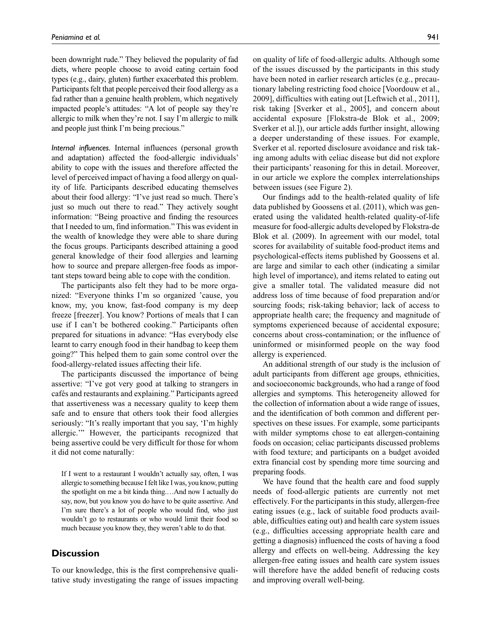been downright rude." They believed the popularity of fad diets, where people choose to avoid eating certain food types (e.g., dairy, gluten) further exacerbated this problem. Participants felt that people perceived their food allergy as a fad rather than a genuine health problem, which negatively impacted people's attitudes: "A lot of people say they're allergic to milk when they're not. I say I'm allergic to milk and people just think I'm being precious."

*Internal influences.* Internal influences (personal growth and adaptation) affected the food-allergic individuals' ability to cope with the issues and therefore affected the level of perceived impact of having a food allergy on quality of life. Participants described educating themselves about their food allergy: "I've just read so much. There's just so much out there to read." They actively sought information: "Being proactive and finding the resources that I needed to um, find information." This was evident in the wealth of knowledge they were able to share during the focus groups. Participants described attaining a good general knowledge of their food allergies and learning how to source and prepare allergen-free foods as important steps toward being able to cope with the condition.

The participants also felt they had to be more organized: "Everyone thinks I'm so organized 'cause, you know, my, you know, fast-food company is my deep freeze [freezer]. You know? Portions of meals that I can use if I can't be bothered cooking." Participants often prepared for situations in advance: "Has everybody else learnt to carry enough food in their handbag to keep them going?" This helped them to gain some control over the food-allergy-related issues affecting their life.

The participants discussed the importance of being assertive: "I've got very good at talking to strangers in cafés and restaurants and explaining." Participants agreed that assertiveness was a necessary quality to keep them safe and to ensure that others took their food allergies seriously: "It's really important that you say, 'I'm highly allergic.'" However, the participants recognized that being assertive could be very difficult for those for whom it did not come naturally:

If I went to a restaurant I wouldn't actually say, often, I was allergic to something because I felt like I was, you know, putting the spotlight on me a bit kinda thing.…And now I actually do say, now, but you know you do have to be quite assertive. And I'm sure there's a lot of people who would find, who just wouldn't go to restaurants or who would limit their food so much because you know they, they weren't able to do that.

# **Discussion**

To our knowledge, this is the first comprehensive qualitative study investigating the range of issues impacting on quality of life of food-allergic adults. Although some of the issues discussed by the participants in this study have been noted in earlier research articles (e.g., precautionary labeling restricting food choice [Voordouw et al., 2009], difficulties with eating out [Leftwich et al., 2011], risk taking [Sverker et al., 2005], and concern about accidental exposure [Flokstra-de Blok et al., 2009; Sverker et al.]), our article adds further insight, allowing a deeper understanding of these issues. For example, Sverker et al. reported disclosure avoidance and risk taking among adults with celiac disease but did not explore their participants' reasoning for this in detail. Moreover, in our article we explore the complex interrelationships between issues (see Figure 2).

Our findings add to the health-related quality of life data published by Goossens et al. (2011), which was generated using the validated health-related quality-of-life measure for food-allergic adults developed by Flokstra-de Blok et al. (2009). In agreement with our model, total scores for availability of suitable food-product items and psychological-effects items published by Goossens et al. are large and similar to each other (indicating a similar high level of importance), and items related to eating out give a smaller total. The validated measure did not address loss of time because of food preparation and/or sourcing foods; risk-taking behavior; lack of access to appropriate health care; the frequency and magnitude of symptoms experienced because of accidental exposure; concerns about cross-contamination; or the influence of uninformed or misinformed people on the way food allergy is experienced.

An additional strength of our study is the inclusion of adult participants from different age groups, ethnicities, and socioeconomic backgrounds, who had a range of food allergies and symptoms. This heterogeneity allowed for the collection of information about a wide range of issues, and the identification of both common and different perspectives on these issues. For example, some participants with milder symptoms chose to eat allergen-containing foods on occasion; celiac participants discussed problems with food texture; and participants on a budget avoided extra financial cost by spending more time sourcing and preparing foods.

We have found that the health care and food supply needs of food-allergic patients are currently not met effectively. For the participants in this study, allergen-free eating issues (e.g., lack of suitable food products available, difficulties eating out) and health care system issues (e.g., difficulties accessing appropriate health care and getting a diagnosis) influenced the costs of having a food allergy and effects on well-being. Addressing the key allergen-free eating issues and health care system issues will therefore have the added benefit of reducing costs and improving overall well-being.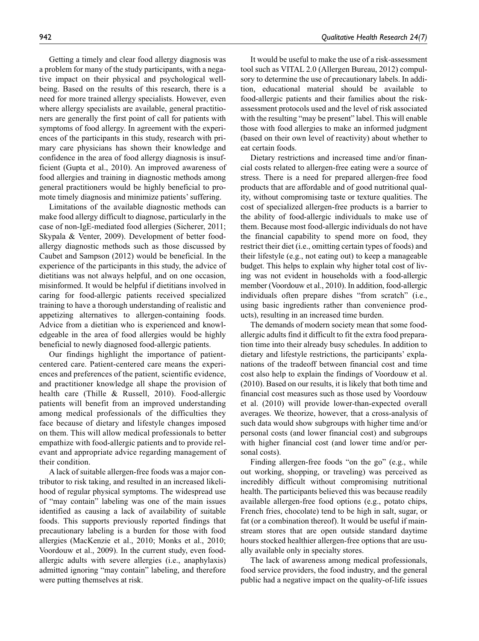Getting a timely and clear food allergy diagnosis was a problem for many of the study participants, with a negative impact on their physical and psychological wellbeing. Based on the results of this research, there is a need for more trained allergy specialists. However, even where allergy specialists are available, general practitioners are generally the first point of call for patients with symptoms of food allergy. In agreement with the experiences of the participants in this study, research with primary care physicians has shown their knowledge and confidence in the area of food allergy diagnosis is insufficient (Gupta et al., 2010). An improved awareness of food allergies and training in diagnostic methods among general practitioners would be highly beneficial to promote timely diagnosis and minimize patients' suffering.

Limitations of the available diagnostic methods can make food allergy difficult to diagnose, particularly in the case of non-IgE-mediated food allergies (Sicherer, 2011; Skypala & Venter, 2009). Development of better foodallergy diagnostic methods such as those discussed by Caubet and Sampson (2012) would be beneficial. In the experience of the participants in this study, the advice of dietitians was not always helpful, and on one occasion, misinformed. It would be helpful if dietitians involved in caring for food-allergic patients received specialized training to have a thorough understanding of realistic and appetizing alternatives to allergen-containing foods. Advice from a dietitian who is experienced and knowledgeable in the area of food allergies would be highly beneficial to newly diagnosed food-allergic patients.

Our findings highlight the importance of patientcentered care. Patient-centered care means the experiences and preferences of the patient, scientific evidence, and practitioner knowledge all shape the provision of health care (Thille & Russell, 2010). Food-allergic patients will benefit from an improved understanding among medical professionals of the difficulties they face because of dietary and lifestyle changes imposed on them. This will allow medical professionals to better empathize with food-allergic patients and to provide relevant and appropriate advice regarding management of their condition.

A lack of suitable allergen-free foods was a major contributor to risk taking, and resulted in an increased likelihood of regular physical symptoms. The widespread use of "may contain" labeling was one of the main issues identified as causing a lack of availability of suitable foods. This supports previously reported findings that precautionary labeling is a burden for those with food allergies (MacKenzie et al., 2010; Monks et al., 2010; Voordouw et al., 2009). In the current study, even foodallergic adults with severe allergies (i.e., anaphylaxis) admitted ignoring "may contain" labeling, and therefore were putting themselves at risk.

It would be useful to make the use of a risk-assessment tool such as VITAL 2.0 (Allergen Bureau, 2012) compulsory to determine the use of precautionary labels. In addition, educational material should be available to food-allergic patients and their families about the riskassessment protocols used and the level of risk associated with the resulting "may be present" label. This will enable those with food allergies to make an informed judgment (based on their own level of reactivity) about whether to eat certain foods.

Dietary restrictions and increased time and/or financial costs related to allergen-free eating were a source of stress. There is a need for prepared allergen-free food products that are affordable and of good nutritional quality, without compromising taste or texture qualities. The cost of specialized allergen-free products is a barrier to the ability of food-allergic individuals to make use of them. Because most food-allergic individuals do not have the financial capability to spend more on food, they restrict their diet (i.e., omitting certain types of foods) and their lifestyle (e.g., not eating out) to keep a manageable budget. This helps to explain why higher total cost of living was not evident in households with a food-allergic member (Voordouw et al., 2010). In addition, food-allergic individuals often prepare dishes "from scratch" (i.e., using basic ingredients rather than convenience products), resulting in an increased time burden.

The demands of modern society mean that some foodallergic adults find it difficult to fit the extra food preparation time into their already busy schedules. In addition to dietary and lifestyle restrictions, the participants' explanations of the tradeoff between financial cost and time cost also help to explain the findings of Voordouw et al. (2010). Based on our results, it is likely that both time and financial cost measures such as those used by Voordouw et al. (2010) will provide lower-than-expected overall averages. We theorize, however, that a cross-analysis of such data would show subgroups with higher time and/or personal costs (and lower financial cost) and subgroups with higher financial cost (and lower time and/or personal costs).

Finding allergen-free foods "on the go" (e.g., while out working, shopping, or traveling) was perceived as incredibly difficult without compromising nutritional health. The participants believed this was because readily available allergen-free food options (e.g., potato chips, French fries, chocolate) tend to be high in salt, sugar, or fat (or a combination thereof). It would be useful if mainstream stores that are open outside standard daytime hours stocked healthier allergen-free options that are usually available only in specialty stores.

The lack of awareness among medical professionals, food service providers, the food industry, and the general public had a negative impact on the quality-of-life issues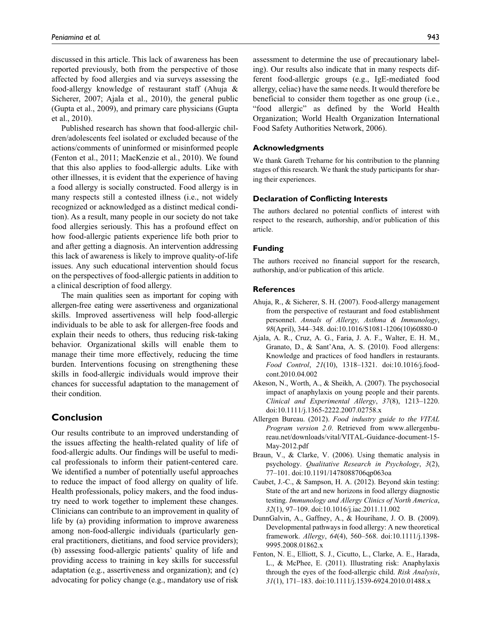discussed in this article. This lack of awareness has been reported previously, both from the perspective of those affected by food allergies and via surveys assessing the food-allergy knowledge of restaurant staff (Ahuja & Sicherer, 2007; Ajala et al., 2010), the general public (Gupta et al., 2009), and primary care physicians (Gupta et al., 2010).

Published research has shown that food-allergic children/adolescents feel isolated or excluded because of the actions/comments of uninformed or misinformed people (Fenton et al., 2011; MacKenzie et al., 2010). We found that this also applies to food-allergic adults. Like with other illnesses, it is evident that the experience of having a food allergy is socially constructed. Food allergy is in many respects still a contested illness (i.e., not widely recognized or acknowledged as a distinct medical condition). As a result, many people in our society do not take food allergies seriously. This has a profound effect on how food-allergic patients experience life both prior to and after getting a diagnosis. An intervention addressing this lack of awareness is likely to improve quality-of-life issues. Any such educational intervention should focus on the perspectives of food-allergic patients in addition to a clinical description of food allergy.

The main qualities seen as important for coping with allergen-free eating were assertiveness and organizational skills. Improved assertiveness will help food-allergic individuals to be able to ask for allergen-free foods and explain their needs to others, thus reducing risk-taking behavior. Organizational skills will enable them to manage their time more effectively, reducing the time burden. Interventions focusing on strengthening these skills in food-allergic individuals would improve their chances for successful adaptation to the management of their condition.

# **Conclusion**

Our results contribute to an improved understanding of the issues affecting the health-related quality of life of food-allergic adults. Our findings will be useful to medical professionals to inform their patient-centered care. We identified a number of potentially useful approaches to reduce the impact of food allergy on quality of life. Health professionals, policy makers, and the food industry need to work together to implement these changes. Clinicians can contribute to an improvement in quality of life by (a) providing information to improve awareness among non-food-allergic individuals (particularly general practitioners, dietitians, and food service providers); (b) assessing food-allergic patients' quality of life and providing access to training in key skills for successful adaptation (e.g., assertiveness and organization); and (c) advocating for policy change (e.g., mandatory use of risk assessment to determine the use of precautionary labeling). Our results also indicate that in many respects different food-allergic groups (e.g., IgE-mediated food allergy, celiac) have the same needs. It would therefore be beneficial to consider them together as one group (i.e., "food allergic" as defined by the World Health Organization; World Health Organization International Food Safety Authorities Network, 2006).

### **Acknowledgments**

We thank Gareth Treharne for his contribution to the planning stages of this research. We thank the study participants for sharing their experiences.

### **Declaration of Conflicting Interests**

The authors declared no potential conflicts of interest with respect to the research, authorship, and/or publication of this article.

### **Funding**

The authors received no financial support for the research, authorship, and/or publication of this article.

### **References**

- Ahuja, R., & Sicherer, S. H. (2007). Food-allergy management from the perspective of restaurant and food establishment personnel. *Annals of Allergy, Asthma & Immunology*, *98*(April), 344–348. doi:10.1016/S1081-1206(10)60880-0
- Ajala, A. R., Cruz, A. G., Faria, J. A. F., Walter, E. H. M., Granato, D., & Sant'Ana, A. S. (2010). Food allergens: Knowledge and practices of food handlers in restaurants. *Food Control*, *21*(10), 1318–1321. doi:10.1016/j.foodcont.2010.04.002
- Akeson, N., Worth, A., & Sheikh, A. (2007). The psychosocial impact of anaphylaxis on young people and their parents. *Clinical and Experimental Allergy*, *37*(8), 1213–1220. doi:10.1111/j.1365-2222.2007.02758.x
- Allergen Bureau. (2012). *Food industry guide to the VITAL Program version 2.0*. Retrieved from www.allergenbureau.net/downloads/vital/VITAL-Guidance-document-15- May-2012.pdf
- Braun, V., & Clarke, V. (2006). Using thematic analysis in psychology. *Qualitative Research in Psychology*, *3*(2), 77–101. doi:10.1191/1478088706qp063oa
- Caubet, J.-C., & Sampson, H. A. (2012). Beyond skin testing: State of the art and new horizons in food allergy diagnostic testing. *Immunology and Allergy Clinics of North America*, *32*(1), 97–109. doi:10.1016/j.iac.2011.11.002
- DunnGalvin, A., Gaffney, A., & Hourihane, J. O. B. (2009). Developmental pathways in food allergy: A new theoretical framework. *Allergy*, *64*(4), 560–568. doi:10.1111/j.1398- 9995.2008.01862.x
- Fenton, N. E., Elliott, S. J., Cicutto, L., Clarke, A. E., Harada, L., & McPhee, E. (2011). Illustrating risk: Anaphylaxis through the eyes of the food-allergic child. *Risk Analysis*, *31*(1), 171–183. doi:10.1111/j.1539-6924.2010.01488.x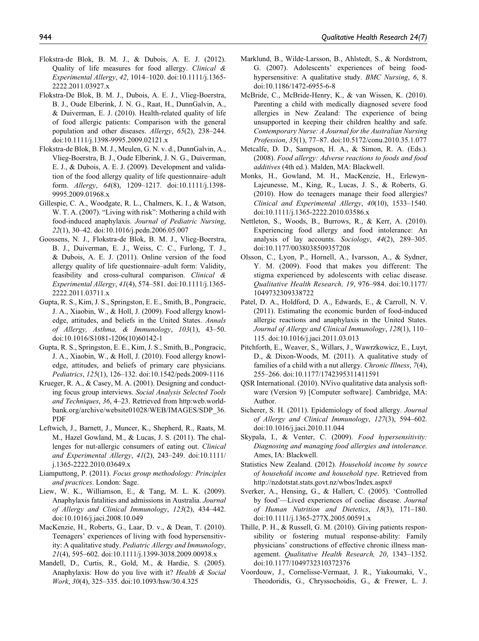- Flokstra-de Blok, B. M. J., & Dubois, A. E. J. (2012). Quality of life measures for food allergy. *Clinical & Experimental Allergy*, *42*, 1014–1020. doi:10.1111/j.1365- 2222.2011.03927.x
- Flokstra-De Blok, B. M. J., Dubois, A. E. J., Vlieg-Boerstra, B. J., Oude Elberink, J. N. G., Raat, H., DunnGalvin, A., & Duiverman, E. J. (2010). Health-related quality of life of food allergic patients: Comparison with the general population and other diseases. *Allergy*, *65*(2), 238–244. doi:10.1111/j.1398-9995.2009.02121.x
- Flokstra-de Blok, B. M. J., Meulen, G. N. v. d., DunnGalvin, A., Vlieg-Boerstra, B. J., Oude Elberink, J. N. G., Duiverman, E. J., & Dubois, A. E. J. (2009). Development and validation of the food allergy quality of life questionnaire–adult form. *Allergy*, *64*(8), 1209–1217. doi:10.1111/j.1398- 9995.2009.01968.x
- Gillespie, C. A., Woodgate, R. L., Chalmers, K. I., & Watson, W. T. A. (2007). "Living with risk": Mothering a child with food-induced anaphylaxis. *Journal of Pediatric Nursing*, *22*(1), 30–42. doi:10.1016/j.pedn.2006.05.007
- Goossens, N. J., Flokstra-de Blok, B. M. J., Vlieg-Boerstra, B. J., Duiverman, E. J., Weiss, C. C., Furlong, T. J., & Dubois, A. E. J. (2011). Online version of the food allergy quality of life questionnaire–adult form: Validity, feasibility and cross-cultural comparison. *Clinical & Experimental Allergy*, *41*(4), 574–581. doi:10.1111/j.1365- 2222.2011.03711.x
- Gupta, R. S., Kim, J. S., Springston, E. E., Smith, B., Pongracic, J. A., Xiaobin, W., & Holl, J. (2009). Food allergy knowledge, attitudes, and beliefs in the United States. *Annals of Allergy, Asthma, & Immunology*, *103*(1), 43–50. doi:10.1016/S1081-1206(10)60142-1
- Gupta, R. S., Springston, E. E., Kim, J. S., Smith, B., Pongracic, J. A., Xiaobin, W., & Holl, J. (2010). Food allergy knowledge, attitudes, and beliefs of primary care physicians. *Pediatrics*, *125*(1), 126–132. doi:10.1542/peds.2009-1116
- Krueger, R. A., & Casey, M. A. (2001). Designing and conducting focus group interviews. *Social Analysis Selected Tools and Techniques*, *36*, 4–23. Retrieved from http:web.world[bank.org/archive/website01028/WEB/IMAGES/SDP\\_36.](http:web.worldbank.org/archive/website01028/WEB/IMAGES/SDP_36.PDF) PDF
- Leftwich, J., Barnett, J., Muncer, K., Shepherd, R., Raats, M. M., Hazel Gowland, M., & Lucas, J. S. (2011). The challenges for nut-allergic consumers of eating out. *Clinical and Experimental Allergy*, *41*(2), 243–249. doi:10.1111/ j.1365-2222.2010.03649.x
- Liamputtong, P. (2011). *Focus group methodology: Principles and practices*. London: Sage.
- Liew, W. K., Williamson, E., & Tang, M. L. K. (2009). Anaphylaxis fatalities and admissions in Australia. *Journal of Allergy and Clinical Immunology*, *123*(2), 434–442. doi:10.1016/j.jaci.2008.10.049
- MacKenzie, H., Roberts, G., Laar, D. v., & Dean, T. (2010). Teenagers' experiences of living with food hypersensitivity: A qualitative study. *Pediatric Allergy and Immunology*, *21*(4), 595–602. doi:10.1111/j.1399-3038.2009.00938.x
- Mandell, D., Curtis, R., Gold, M., & Hardie, S. (2005). Anaphylaxis: How do you live with it? *Health & Social Work*, *30*(4), 325–335. doi:10.1093/hsw/30.4.325
- Marklund, B., Wilde-Larsson, B., Ahlstedt, S., & Nordstrom, G. (2007). Adolescents' experiences of being foodhypersensitive: A qualitative study. *BMC Nursing*, *6*, 8. doi:10.1186/1472-6955-6-8
- McBride, C., McBride-Henry, K., & van Wissen, K. (2010). Parenting a child with medically diagnosed severe food allergies in New Zealand: The experience of being unsupported in keeping their children healthy and safe. *Contemporary Nurse: A Journal for the Australian Nursing Profession*, *35*(1), 77–87. doi:10.5172/conu.2010.35.1.077
- Metcalfe, D. D., Sampson, H. A., & Simon, R. A. (Eds.). (2008). *Food allergy: Adverse reactions to foods and food additives* (4th ed.). Malden, MA: Blackwell.
- Monks, H., Gowland, M. H., MacKenzie, H., Erlewyn-Lajeunesse, M., King, R., Lucas, J. S., & Roberts, G. (2010). How do teenagers manage their food allergies? *Clinical and Experimental Allergy*, *40*(10), 1533–1540. doi:10.1111/j.1365-2222.2010.03586.x
- Nettleton, S., Woods, B., Burrows, R., & Kerr, A. (2010). Experiencing food allergy and food intolerance: An analysis of lay accounts. *Sociology*, *44*(2), 289–305. doi:10.1177/0038038509357208
- Olsson, C., Lyon, P., Hornell, A., Ivarsson, A., & Sydner, Y. M. (2009). Food that makes you different: The stigma experienced by adolescents with celiac disease. *Qualitative Health Research, 19*, 976–984. doi:10.1177/ 1049732309338722
- Patel, D. A., Holdford, D. A., Edwards, E., & Carroll, N. V. (2011). Estimating the economic burden of food-induced allergic reactions and anaphylaxis in the United States. *Journal of Allergy and Clinical Immunology*, *128*(1), 110– 115. doi:10.1016/j.jaci.2011.03.013
- Pitchforth, E., Weaver, S., Willars, J., Wawrzkowicz, E., Luyt, D., & Dixon-Woods, M. (2011). A qualitative study of families of a child with a nut allergy. *Chronic Illness*, *7*(4), 255–266. doi:10.1177/1742395311411591
- QSR International. (2010). NVivo qualitative data analysis software (Version 9) [Computer software]. Cambridge, MA: Author.
- Sicherer, S. H. (2011). Epidemiology of food allergy. *Journal of Allergy and Clinical Immunology*, *127*(3), 594–602. doi:10.1016/j.jaci.2010.11.044
- Skypala, I., & Venter, C. (2009). *Food hypersensitivity: Diagnosing and managing food allergies and intolerance*. Ames, IA: Blackwell.
- Statistics New Zealand. (2012). *Household income by source of household income and household type*. Retrieved from http://nzdotstat.stats.govt.nz/wbos/Index.aspx#
- Sverker, A., Hensing, G., & Hallert, C. (2005). 'Controlled by food'—Lived experiences of coeliac disease. *Journal of Human Nutrition and Dietetics*, *18*(3), 171–180. doi:10.1111/j.1365-277X.2005.00591.x
- Thille, P. H., & Russell, G. M. (2010). Giving patients responsibility or fostering mutual response-ability: Family physicians' constructions of effective chronic illness management. *Qualitative Health Research, 20*, 1343–1352. doi:10.1177/1049732310372376
- Voordouw, J., Cornelisse-Vermaat, J. R., Yiakoumaki, V., Theodoridis, G., Chryssochoidis, G., & Frewer, L. J.